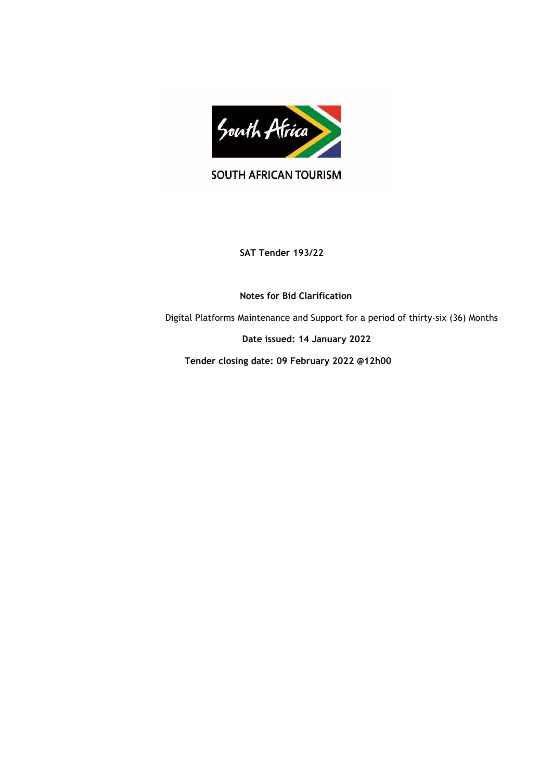

SOUTH AFRICAN TOURISM

**SAT Tender 193/22**

 **Notes for Bid Clarification**

Digital Platforms Maintenance and Support for a period of thirty-six (36) Months

 **Date issued: 14 January 2022**

 **Tender closing date: 09 February 2022 @12h00**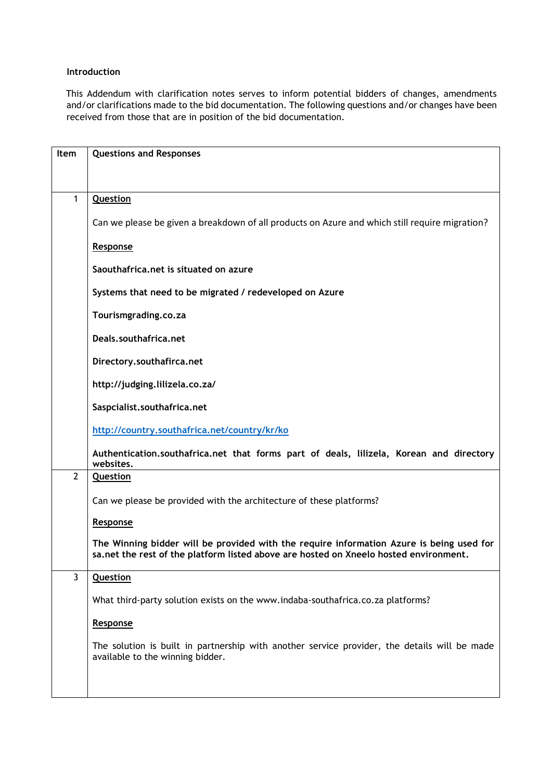## **Introduction**

This Addendum with clarification notes serves to inform potential bidders of changes, amendments and/or clarifications made to the bid documentation. The following questions and/or changes have been received from those that are in position of the bid documentation.

| Item         | <b>Questions and Responses</b>                                                                                                                                                     |
|--------------|------------------------------------------------------------------------------------------------------------------------------------------------------------------------------------|
|              |                                                                                                                                                                                    |
|              |                                                                                                                                                                                    |
| 1            | Question                                                                                                                                                                           |
|              | Can we please be given a breakdown of all products on Azure and which still require migration?                                                                                     |
|              | Response                                                                                                                                                                           |
|              | Saouthafrica.net is situated on azure                                                                                                                                              |
|              | Systems that need to be migrated / redeveloped on Azure                                                                                                                            |
|              | Tourismgrading.co.za                                                                                                                                                               |
|              | Deals.southafrica.net                                                                                                                                                              |
|              | Directory.southafirca.net                                                                                                                                                          |
|              | http://judging.lilizela.co.za/                                                                                                                                                     |
|              | Saspcialist.southafrica.net                                                                                                                                                        |
|              | http://country.southafrica.net/country/kr/ko                                                                                                                                       |
|              | Authentication.southafrica.net that forms part of deals, lilizela, Korean and directory<br>websites.                                                                               |
| $\mathbf{2}$ | Question                                                                                                                                                                           |
|              | Can we please be provided with the architecture of these platforms?                                                                                                                |
|              | Response                                                                                                                                                                           |
|              | The Winning bidder will be provided with the require information Azure is being used for<br>sa, net the rest of the platform listed above are hosted on Xneelo hosted environment. |
| 3            | <b>Question</b>                                                                                                                                                                    |
|              | What third-party solution exists on the www.indaba-southafrica.co.za platforms?                                                                                                    |
|              | Response                                                                                                                                                                           |
|              | The solution is built in partnership with another service provider, the details will be made<br>available to the winning bidder.                                                   |
|              |                                                                                                                                                                                    |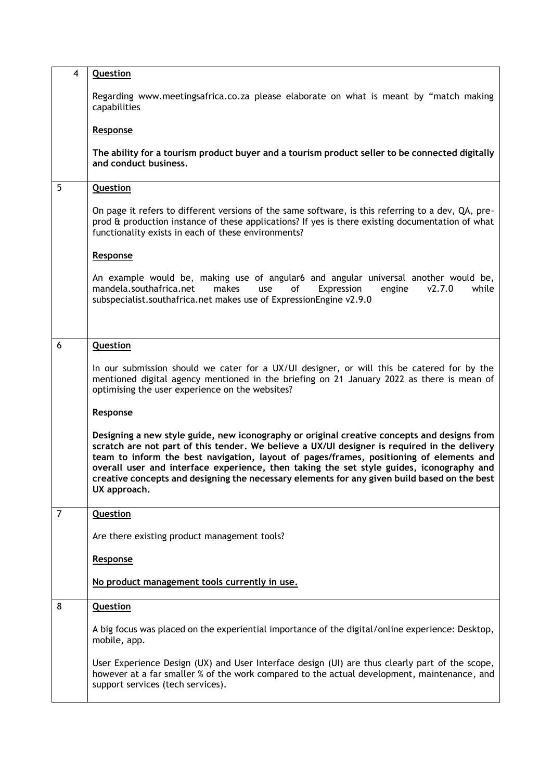| $\overline{4}$ | <b>Question</b>                                                                                                                                                                                                                                                                                                                                                                                                                                                                                    |
|----------------|----------------------------------------------------------------------------------------------------------------------------------------------------------------------------------------------------------------------------------------------------------------------------------------------------------------------------------------------------------------------------------------------------------------------------------------------------------------------------------------------------|
|                | Regarding www.meetingsafrica.co.za please elaborate on what is meant by "match making<br>capabilities                                                                                                                                                                                                                                                                                                                                                                                              |
|                | Response                                                                                                                                                                                                                                                                                                                                                                                                                                                                                           |
|                | The ability for a tourism product buyer and a tourism product seller to be connected digitally<br>and conduct business.                                                                                                                                                                                                                                                                                                                                                                            |
| 5              | <b>Question</b>                                                                                                                                                                                                                                                                                                                                                                                                                                                                                    |
|                | On page it refers to different versions of the same software, is this referring to a dev, QA, pre-<br>prod & production instance of these applications? If yes is there existing documentation of what<br>functionality exists in each of these environments?                                                                                                                                                                                                                                      |
|                | Response                                                                                                                                                                                                                                                                                                                                                                                                                                                                                           |
|                | An example would be, making use of angular6 and angular universal another would be,<br>mandela.southafrica.net<br>Expression<br>makes<br>use<br>of<br>V2.7.0<br>while<br>engine<br>subspecialist.southafrica.net makes use of ExpressionEngine v2.9.0                                                                                                                                                                                                                                              |
|                |                                                                                                                                                                                                                                                                                                                                                                                                                                                                                                    |
| 6              | <b>Question</b>                                                                                                                                                                                                                                                                                                                                                                                                                                                                                    |
|                | In our submission should we cater for a UX/UI designer, or will this be catered for by the<br>mentioned digital agency mentioned in the briefing on 21 January 2022 as there is mean of<br>optimising the user experience on the websites?                                                                                                                                                                                                                                                         |
|                | Response                                                                                                                                                                                                                                                                                                                                                                                                                                                                                           |
|                | Designing a new style guide, new iconography or original creative concepts and designs from<br>scratch are not part of this tender. We believe a UX/UI designer is required in the delivery<br>team to inform the best navigation, layout of pages/frames, positioning of elements and<br>overall user and interface experience, then taking the set style guides, iconography and<br>creative concepts and designing the necessary elements for any given build based on the best<br>UX approach. |
| 7              | <b>Question</b>                                                                                                                                                                                                                                                                                                                                                                                                                                                                                    |
|                | Are there existing product management tools?                                                                                                                                                                                                                                                                                                                                                                                                                                                       |
|                | Response                                                                                                                                                                                                                                                                                                                                                                                                                                                                                           |
|                | No product management tools currently in use.                                                                                                                                                                                                                                                                                                                                                                                                                                                      |
| 8              | <b>Question</b>                                                                                                                                                                                                                                                                                                                                                                                                                                                                                    |
|                | A big focus was placed on the experiential importance of the digital/online experience: Desktop,<br>mobile, app.                                                                                                                                                                                                                                                                                                                                                                                   |
|                | User Experience Design (UX) and User Interface design (UI) are thus clearly part of the scope,<br>however at a far smaller % of the work compared to the actual development, maintenance, and<br>support services (tech services).                                                                                                                                                                                                                                                                 |